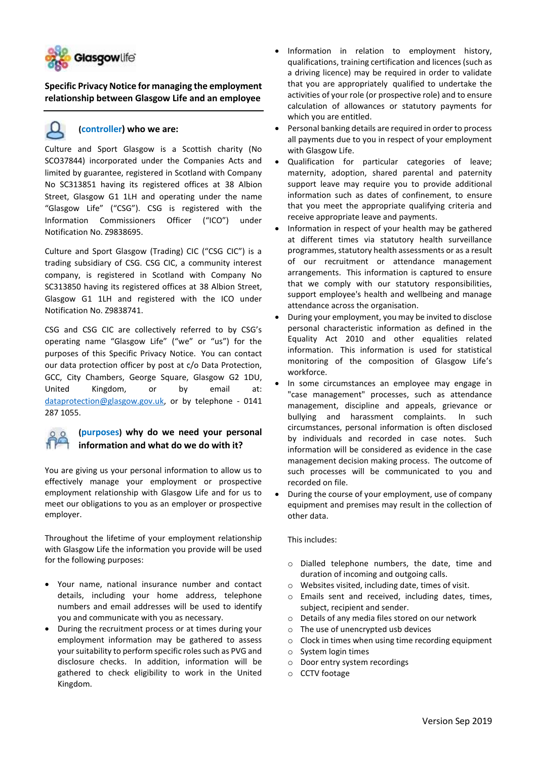

**Specific Privacy Notice for managing the employment relationship between Glasgow Life and an employee**

### **(controller) who we are:**

Culture and Sport Glasgow is a Scottish charity (No SCO37844) incorporated under the Companies Acts and limited by guarantee, registered in Scotland with Company No SC313851 having its registered offices at 38 Albion Street, Glasgow G1 1LH and operating under the name "Glasgow Life" ("CSG"). CSG is registered with the Information Commissioners Officer ("ICO") under Notification No. Z9838695.

Culture and Sport Glasgow (Trading) CIC ("CSG CIC") is a trading subsidiary of CSG. CSG CIC, a community interest company, is registered in Scotland with Company No SC313850 having its registered offices at 38 Albion Street, Glasgow G1 1LH and registered with the ICO under Notification No. Z9838741.

CSG and CSG CIC are collectively referred to by CSG's operating name "Glasgow Life" ("we" or "us") for the purposes of this Specific Privacy Notice. You can contact our data protection officer by post at c/o Data Protection, GCC, City Chambers, George Square, Glasgow G2 1DU, United Kingdom, or by email at: [dataprotection@glasgow.gov.uk,](mailto:dataprotection@glasgow.gov.uk) or by telephone - 0141 287 1055.



## **(purposes) why do we need your personal information and what do we do with it?**

You are giving us your personal information to allow us to effectively manage your employment or prospective employment relationship with Glasgow Life and for us to meet our obligations to you as an employer or prospective employer.

Throughout the lifetime of your employment relationship with Glasgow Life the information you provide will be used for the following purposes:

- Your name, national insurance number and contact details, including your home address, telephone numbers and email addresses will be used to identify you and communicate with you as necessary.
- During the recruitment process or at times during your employment information may be gathered to assess your suitability to perform specific roles such as PVG and disclosure checks. In addition, information will be gathered to check eligibility to work in the United Kingdom.
- Information in relation to employment history, qualifications, training certification and licences (such as a driving licence) may be required in order to validate that you are appropriately qualified to undertake the activities of your role (or prospective role) and to ensure calculation of allowances or statutory payments for which you are entitled.
- Personal banking details are required in order to process all payments due to you in respect of your employment with Glasgow Life.
- Qualification for particular categories of leave; maternity, adoption, shared parental and paternity support leave may require you to provide additional information such as dates of confinement, to ensure that you meet the appropriate qualifying criteria and receive appropriate leave and payments.
- Information in respect of your health may be gathered at different times via statutory health surveillance programmes, statutory health assessments or as a result of our recruitment or attendance management arrangements. This information is captured to ensure that we comply with our statutory responsibilities, support employee's health and wellbeing and manage attendance across the organisation.
- During your employment, you may be invited to disclose personal characteristic information as defined in the Equality Act 2010 and other equalities related information. This information is used for statistical monitoring of the composition of Glasgow Life's workforce.
- In some circumstances an employee may engage in "case management" processes, such as attendance management, discipline and appeals, grievance or bullying and harassment complaints. In such circumstances, personal information is often disclosed by individuals and recorded in case notes. Such information will be considered as evidence in the case management decision making process. The outcome of such processes will be communicated to you and recorded on file.
- During the course of your employment, use of company equipment and premises may result in the collection of other data.

### This includes:

- o Dialled telephone numbers, the date, time and duration of incoming and outgoing calls.
- o Websites visited, including date, times of visit.
- o Emails sent and received, including dates, times, subject, recipient and sender.
- o Details of any media files stored on our network
- o The use of unencrypted usb devices
- o Clock in times when using time recording equipment
- o System login times
- o Door entry system recordings
- o CCTV footage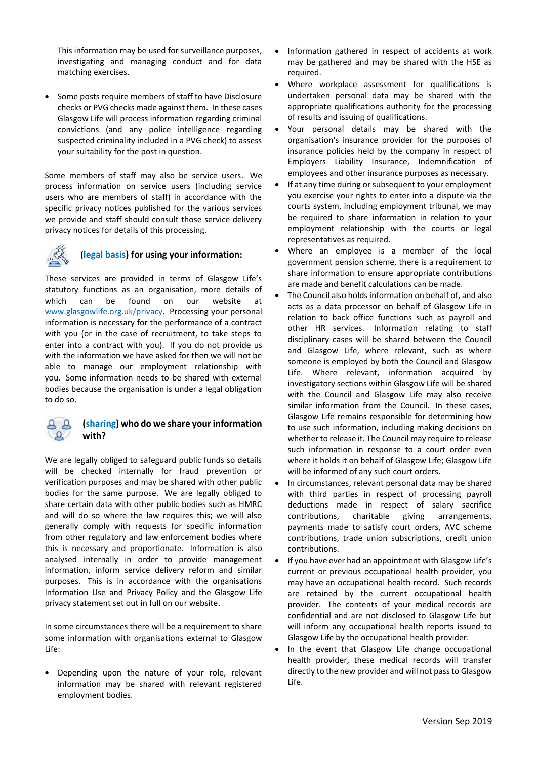This information may be used for surveillance purposes, investigating and managing conduct and for data matching exercises.

• Some posts require members of staff to have Disclosure checks or PVG checks made against them. In these cases Glasgow Life will process information regarding criminal convictions (and any police intelligence regarding suspected criminality included in a PVG check) to assess your suitability for the post in question.

Some members of staff may also be service users. We process information on service users (including service users who are members of staff) in accordance with the specific privacy notices published for the various services we provide and staff should consult those service delivery privacy notices for details of this processing.



### **(legal basis) for using your information:**

These services are provided in terms of Glasgow Life's statutory functions as an organisation, more details of which can be found on our website at [www.glasgowlife.org.uk/privacy.](http://www.glasgowlife.org.uk/privacy) Processing your personal information is necessary for the performance of a contract with you (or in the case of recruitment, to take steps to enter into a contract with you). If you do not provide us with the information we have asked for then we will not be able to manage our employment relationship with you. Some information needs to be shared with external bodies because the organisation is under a legal obligation to do so.

### **(sharing) who do we share your information**   $\Omega$ **with?**

We are legally obliged to safeguard public funds so details will be checked internally for fraud prevention or verification purposes and may be shared with other public bodies for the same purpose. We are legally obliged to share certain data with other public bodies such as HMRC and will do so where the law requires this; we will also generally comply with requests for specific information from other regulatory and law enforcement bodies where this is necessary and proportionate. Information is also analysed internally in order to provide management information, inform service delivery reform and similar purposes. This is in accordance with the organisations Information Use and Privacy Policy and the Glasgow Life privacy statement set out in full on our website.

In some circumstances there will be a requirement to share some information with organisations external to Glasgow Life:

• Depending upon the nature of your role, relevant information may be shared with relevant registered employment bodies.

- Information gathered in respect of accidents at work may be gathered and may be shared with the HSE as required.
- Where workplace assessment for qualifications is undertaken personal data may be shared with the appropriate qualifications authority for the processing of results and issuing of qualifications.
- Your personal details may be shared with the organisation's insurance provider for the purposes of insurance policies held by the company in respect of Employers Liability Insurance, Indemnification of employees and other insurance purposes as necessary.
- If at any time during or subsequent to your employment you exercise your rights to enter into a dispute via the courts system, including employment tribunal, we may be required to share information in relation to your employment relationship with the courts or legal representatives as required.
- Where an employee is a member of the local government pension scheme, there is a requirement to share information to ensure appropriate contributions are made and benefit calculations can be made.
- The Council also holds information on behalf of, and also acts as a data processor on behalf of Glasgow Life in relation to back office functions such as payroll and other HR services. Information relating to staff disciplinary cases will be shared between the Council and Glasgow Life, where relevant, such as where someone is employed by both the Council and Glasgow Life. Where relevant, information acquired by investigatory sections within Glasgow Life will be shared with the Council and Glasgow Life may also receive similar information from the Council. In these cases, Glasgow Life remains responsible for determining how to use such information, including making decisions on whether to release it. The Council may require to release such information in response to a court order even where it holds it on behalf of Glasgow Life; Glasgow Life will be informed of any such court orders.
- In circumstances, relevant personal data may be shared with third parties in respect of processing payroll deductions made in respect of salary sacrifice contributions, charitable giving arrangements, payments made to satisfy court orders, AVC scheme contributions, trade union subscriptions, credit union contributions.
- If you have ever had an appointment with Glasgow Life's current or previous occupational health provider, you may have an occupational health record. Such records are retained by the current occupational health provider. The contents of your medical records are confidential and are not disclosed to Glasgow Life but will inform any occupational health reports issued to Glasgow Life by the occupational health provider.
- In the event that Glasgow Life change occupational health provider, these medical records will transfer directly to the new provider and will not pass to Glasgow Life.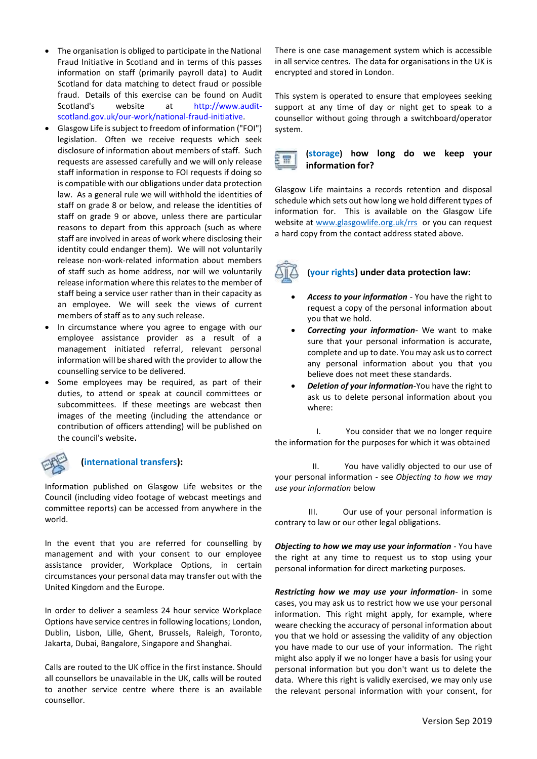- The organisation is obliged to participate in the National Fraud Initiative in Scotland and in terms of this passes information on staff (primarily payroll data) to Audit Scotland for data matching to detect fraud or possible fraud. Details of this exercise can be found on Audit Scotland's website at [http://www.audit](http://www.audit-scotland.gov.uk/our-work/national-fraud-initiative)[scotland.gov.uk/our-work/national-fraud-initiative.](http://www.audit-scotland.gov.uk/our-work/national-fraud-initiative)
- Glasgow Life is subject to freedom of information ("FOI") legislation. Often we receive requests which seek disclosure of information about members of staff. Such requests are assessed carefully and we will only release staff information in response to FOI requests if doing so is compatible with our obligations under data protection law. As a general rule we will withhold the identities of staff on grade 8 or below, and release the identities of staff on grade 9 or above, unless there are particular reasons to depart from this approach (such as where staff are involved in areas of work where disclosing their identity could endanger them). We will not voluntarily release non-work-related information about members of staff such as home address, nor will we voluntarily release information where this relates to the member of staff being a service user rather than in their capacity as an employee. We will seek the views of current members of staff as to any such release.
- In circumstance where you agree to engage with our employee assistance provider as a result of a management initiated referral, relevant personal information will be shared with the provider to allow the counselling service to be delivered.
- Some employees may be required, as part of their duties, to attend or speak at council committees or subcommittees. If these meetings are webcast then images of the meeting (including the attendance or contribution of officers attending) will be published on the council's website.



### **(international transfers):**

Information published on Glasgow Life websites or the Council (including video footage of webcast meetings and committee reports) can be accessed from anywhere in the world.

In the event that you are referred for counselling by management and with your consent to our employee assistance provider, Workplace Options, in certain circumstances your personal data may transfer out with the United Kingdom and the Europe.

In order to deliver a seamless 24 hour service Workplace Options have service centres in following locations; London, Dublin, Lisbon, Lille, Ghent, Brussels, Raleigh, Toronto, Jakarta, Dubai, Bangalore, Singapore and Shanghai.

Calls are routed to the UK office in the first instance. Should all counsellors be unavailable in the UK, calls will be routed to another service centre where there is an available counsellor.

There is one case management system which is accessible in all service centres. The data for organisations in the UK is encrypted and stored in London.

This system is operated to ensure that employees seeking support at any time of day or night get to speak to a counsellor without going through a switchboard/operator system.

#### **(storage) how long do we keep your**  음료 **information for?**

Glasgow Life maintains a records retention and disposal schedule which sets out how long we hold different types of information for. This is available on the Glasgow Life website at [www.glasgowlife.org.uk/rrs](http://www.glasgowlife.org.uk/rrs) or you can request a hard copy from the contact address stated above.



### **(your rights) under data protection law:**

- *Access to your information* You have the right to request a copy of the personal information about you that we hold.
- *Correcting your information* We want to make sure that your personal information is accurate, complete and up to date. You may ask us to correct any personal information about you that you believe does not meet these standards.
- *Deletion of your information-*You have the right to ask us to delete personal information about you where:

 I. You consider that we no longer require the information for the purposes for which it was obtained

 II. You have validly objected to our use of your personal information - see *Objecting to how we may use your information* below

 III. Our use of your personal information is contrary to law or our other legal obligations.

*Objecting to how we may use your information* - You have the right at any time to request us to stop using your personal information for direct marketing purposes.

*Restricting how we may use your information*- in some cases, you may ask us to restrict how we use your personal information. This right might apply, for example, where weare checking the accuracy of personal information about you that we hold or assessing the validity of any objection you have made to our use of your information. The right might also apply if we no longer have a basis for using your personal information but you don't want us to delete the data. Where this right is validly exercised, we may only use the relevant personal information with your consent, for